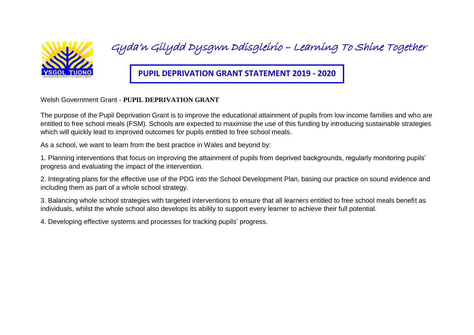

Gyda'n Gilydd Dysgwn Ddisgleirio – Learning To Shine Together

**PUPIL DEPRIVATION GRANT STATEMENT 2019 - 2020**

Welsh Government Grant - **PUPIL DEPRIVATION GRANT** 

The purpose of the Pupil Deprivation Grant is to improve the educational attainment of pupils from low income families and who are entitled to free school meals (FSM). Schools are expected to maximise the use of this funding by introducing sustainable strategies which will quickly lead to improved outcomes for pupils entitled to free school meals.

As a school, we want to learn from the best practice in Wales and beyond by:

1. Planning interventions that focus on improving the attainment of pupils from deprived backgrounds, regularly monitoring pupils' progress and evaluating the impact of the intervention.

2. Integrating plans for the effective use of the PDG into the School Development Plan, basing our practice on sound evidence and including them as part of a whole school strategy.

3. Balancing whole school strategies with targeted interventions to ensure that all learners entitled to free school meals benefit as individuals, whilst the whole school also develops its ability to support every learner to achieve their full potential.

4. Developing effective systems and processes for tracking pupils' progress.